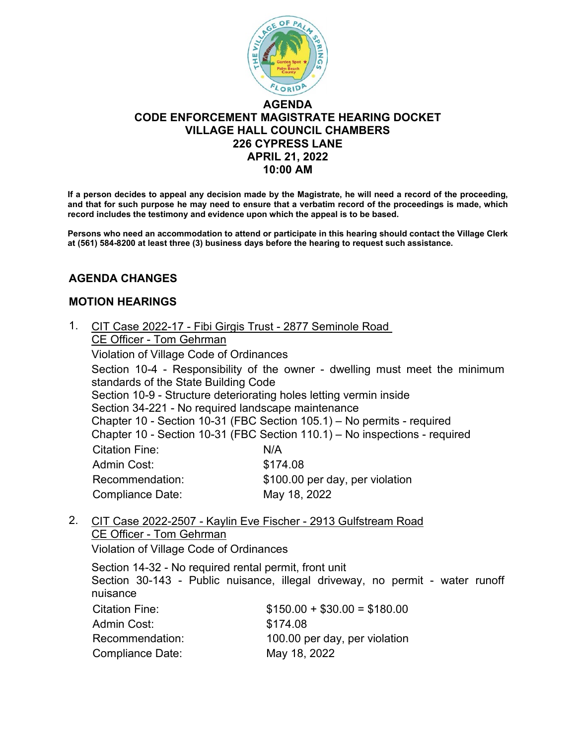

# **AGENDA CODE ENFORCEMENT MAGISTRATE HEARING DOCKET VILLAGE HALL COUNCIL CHAMBERS 226 CYPRESS LANE APRIL 21, 2022 10:00 AM**

**If a person decides to appeal any decision made by the Magistrate, he will need a record of the proceeding, and that for such purpose he may need to ensure that a verbatim record of the proceedings is made, which record includes the testimony and evidence upon which the appeal is to be based.** 

**Persons who need an accommodation to attend or participate in this hearing should contact the Village Clerk at (561) 584-8200 at least three (3) business days before the hearing to request such assistance.** 

## **AGENDA CHANGES**

### **MOTION HEARINGS**

- 1. CIT Case 2022-17 Fibi Girgis Trust 2877 Seminole Road CE Officer - Tom Gehrman Violation of Village Code of Ordinances Section 10-4 - Responsibility of the owner - dwelling must meet the minimum standards of the State Building Code Section 10-9 - Structure deteriorating holes letting vermin inside Section 34-221 - No required landscape maintenance Chapter 10 - Section 10-31 (FBC Section 105.1) – No permits - required Chapter 10 - Section 10-31 (FBC Section 110.1) – No inspections - required Citation Fine: N/A Admin Cost: \$174.08 Recommendation: \$100.00 per day, per violation Compliance Date: May 18, 2022
- 2. CIT Case 2022-2507 Kaylin Eve Fischer 2913 Gulfstream Road CE Officer - Tom Gehrman

Violation of Village Code of Ordinances

Section 14-32 - No required rental permit, front unit Section 30-143 - Public nuisance, illegal driveway, no permit - water runoff nuisance Citation Fine: \$150.00 + \$30.00 = \$180.00 Admin Cost: \$174.08 Recommendation: 100.00 per day, per violation Compliance Date: May 18, 2022